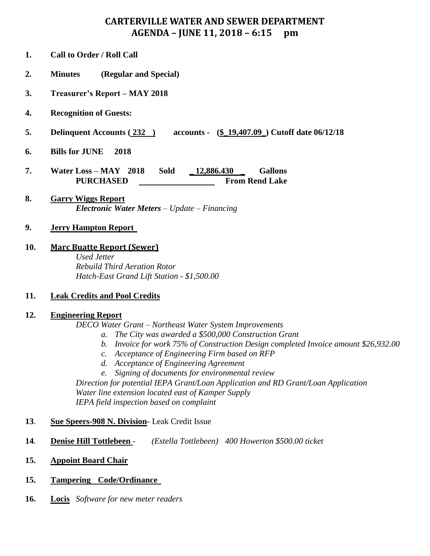# **CARTERVILLE WATER AND SEWER DEPARTMENT AGENDA – JUNE 11, 2018 – 6:15 pm**

- **1. Call to Order / Roll Call**
- **2. Minutes (Regular and Special)**
- **3. Treasurer's Report – MAY 2018**
- **4. Recognition of Guests:**
- **5. Delinquent Accounts ( 232 ) accounts - (\$\_19,407.09\_) Cutoff date 06/12/18**
- **6. Bills for JUNE 2018**
- **7. Water Loss – MAY 2018 Sold \_ 12,886.430 \_ Gallons PURCHASED From Rend Lake**
- **8. Garry Wiggs Report** *Electronic Water Meters – Update – Financing*

### **9. Jerry Hampton Report**

**10. Marc Buatte Report (Sewer)**

*Used Jetter Rebuild Third Aeration Rotor Hatch-East Grand Lift Station - \$1,500.00*

## **11. Leak Credits and Pool Credits**

### **12. Engineering Report**

*DECO Water Grant – Northeast Water System Improvements*

- *a. The City was awarded a \$500,000 Construction Grant*
- *b. Invoice for work 75% of Construction Design completed Invoice amount \$26,932.00*
- *c. Acceptance of Engineering Firm based on RFP*
- *d. Acceptance of Engineering Agreement*
- *e. Signing of documents for environmental review*

*Direction for potential IEPA Grant/Loan Application and RD Grant/Loan Application Water line extension located east of Kamper Supply IEPA field inspection based on complaint*

### **13**. **Sue Speers-908 N. Division**- Leak Credit Issue

- **14**. **Denise Hill Tottlebeen** *(Estella Tottlebeen) 400 Howerton \$500.00 ticket*
- **15. Appoint Board Chair**
- **15. Tampering Code/Ordinance**
- **16. Locis** *Software for new meter readers*